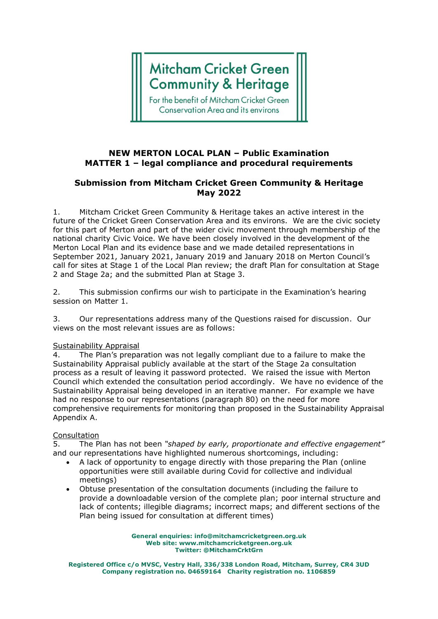# **Mitcham Cricket Green Community & Heritage**

For the benefit of Mitcham Cricket Green **Conservation Area and its environs** 

### **NEW MERTON LOCAL PLAN – Public Examination MATTER 1 – legal compliance and procedural requirements**

## **Submission from Mitcham Cricket Green Community & Heritage May 2022**

1. Mitcham Cricket Green Community & Heritage takes an active interest in the future of the Cricket Green Conservation Area and its environs. We are the civic society for this part of Merton and part of the wider civic movement through membership of the national charity Civic Voice. We have been closely involved in the development of the Merton Local Plan and its evidence base and we made detailed representations in September 2021, January 2021, January 2019 and January 2018 on Merton Council's call for sites at Stage 1 of the Local Plan review; the draft Plan for consultation at Stage 2 and Stage 2a; and the submitted Plan at Stage 3.

2. This submission confirms our wish to participate in the Examination's hearing session on Matter 1.

3. Our representations address many of the Questions raised for discussion. Our views on the most relevant issues are as follows:

#### Sustainability Appraisal

4. The Plan's preparation was not legally compliant due to a failure to make the Sustainability Appraisal publicly available at the start of the Stage 2a consultation process as a result of leaving it password protected. We raised the issue with Merton Council which extended the consultation period accordingly. We have no evidence of the Sustainability Appraisal being developed in an iterative manner. For example we have had no response to our representations (paragraph 80) on the need for more comprehensive requirements for monitoring than proposed in the Sustainability Appraisal Appendix A.

#### Consultation

5. The Plan has not been *"shaped by early, proportionate and effective engagement"* and our representations have highlighted numerous shortcomings, including:

- A lack of opportunity to engage directly with those preparing the Plan (online opportunities were still available during Covid for collective and individual meetings)
- Obtuse presentation of the consultation documents (including the failure to provide a downloadable version of the complete plan; poor internal structure and lack of contents; illegible diagrams; incorrect maps; and different sections of the Plan being issued for consultation at different times)

**General enquiries: info@mitchamcricketgreen.org.uk Web site: www.mitchamcricketgreen.org.uk Twitter: @MitchamCrktGrn**

**Registered Office c/o MVSC, Vestry Hall, 336/338 London Road, Mitcham, Surrey, CR4 3UD Company registration no. 04659164 Charity registration no. 1106859**